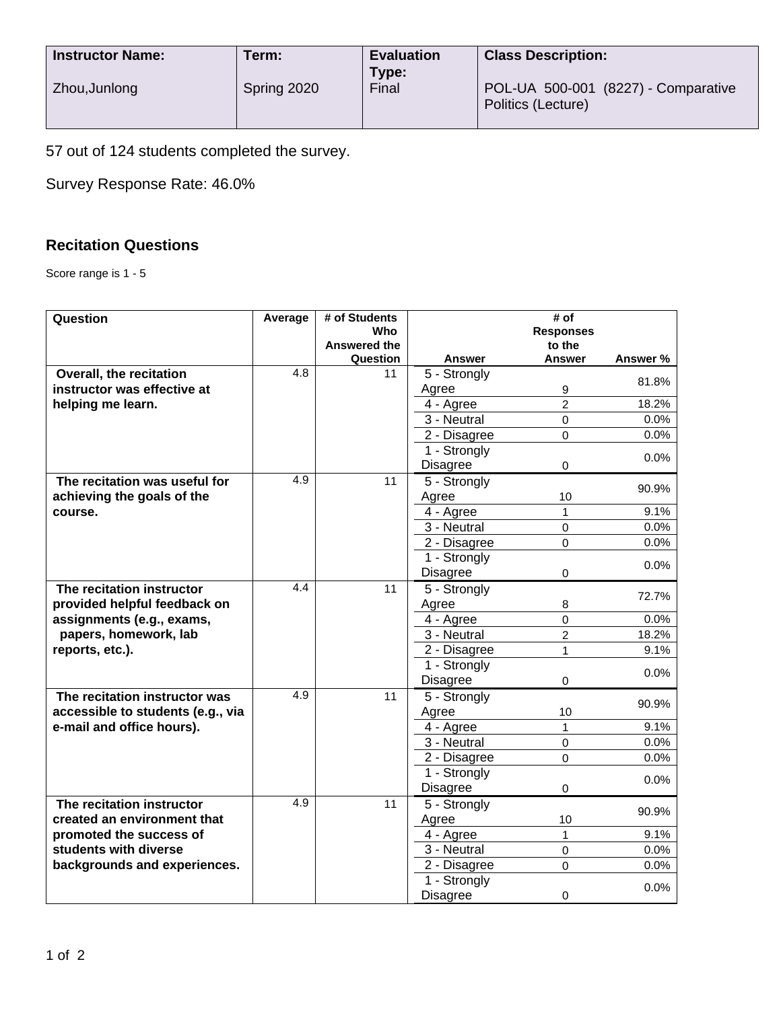| <b>Instructor Name:</b> | Term:       | <b>Evaluation</b> | <b>Class Description:</b>                                 |  |
|-------------------------|-------------|-------------------|-----------------------------------------------------------|--|
| Zhou, Junlong           | Spring 2020 | Type:<br>Final    | POL-UA 500-001 (8227) - Comparative<br>Politics (Lecture) |  |

57 out of 124 students completed the survey.

Survey Response Rate: 46.0%

## **Recitation Questions**

Score range is 1 - 5

| Question                          | Average | # of Students<br>Who |                                              | $\overline{\sharp}$ of<br><b>Responses</b> |          |
|-----------------------------------|---------|----------------------|----------------------------------------------|--------------------------------------------|----------|
|                                   |         | Answered the         |                                              | to the                                     |          |
| <b>Overall, the recitation</b>    | 4.8     | Question<br>11       | <b>Answer</b><br>5 - Strongly                | <b>Answer</b>                              | Answer % |
| instructor was effective at       |         |                      | Agree                                        | 9                                          | 81.8%    |
| helping me learn.                 |         |                      | 4 - Agree                                    | $\overline{2}$                             | 18.2%    |
|                                   |         |                      | 3 - Neutral                                  | $\mathbf 0$                                | $0.0\%$  |
|                                   |         |                      | 2 - Disagree                                 | $\mathbf 0$                                | 0.0%     |
|                                   |         |                      | 1 - Strongly                                 |                                            |          |
|                                   |         |                      | <b>Disagree</b>                              | $\mathbf 0$                                | $0.0\%$  |
| The recitation was useful for     | 4.9     | 11                   | 5 - Strongly                                 |                                            |          |
| achieving the goals of the        |         |                      | Agree                                        | 10                                         | 90.9%    |
| course.                           |         |                      | 4 - Agree                                    | 1                                          | 9.1%     |
|                                   |         |                      | 3 - Neutral                                  | 0                                          | 0.0%     |
|                                   |         |                      | 2 - Disagree                                 | $\mathbf 0$                                | 0.0%     |
|                                   |         |                      | 1 - Strongly                                 |                                            |          |
|                                   |         |                      | <b>Disagree</b>                              | $\mathbf 0$                                | 0.0%     |
| The recitation instructor         | 4.4     | 11                   | $\overline{5}$ - Strongly                    |                                            |          |
| provided helpful feedback on      |         |                      | Agree                                        | 8                                          | 72.7%    |
| assignments (e.g., exams,         |         |                      | 4 - Agree                                    | $\Omega$                                   | 0.0%     |
| papers, homework, lab             |         |                      | 3 - Neutral                                  | $\overline{2}$                             | 18.2%    |
| reports, etc.).                   |         |                      | 2 - Disagree                                 | 1                                          | 9.1%     |
|                                   |         |                      | 1 - Strongly                                 |                                            | 0.0%     |
|                                   |         |                      | <b>Disagree</b>                              | 0                                          |          |
| The recitation instructor was     | 4.9     | 11                   | 5 - Strongly                                 |                                            | 90.9%    |
| accessible to students (e.g., via |         |                      | Agree                                        | 10                                         |          |
| e-mail and office hours).         |         |                      | 4 - Agree                                    | 1                                          | 9.1%     |
|                                   |         |                      | 3 - Neutral                                  | $\mathbf 0$                                | 0.0%     |
|                                   |         |                      | 2 - Disagree                                 | 0                                          | 0.0%     |
|                                   |         |                      | 1 - Strongly                                 |                                            | 0.0%     |
|                                   |         |                      | Disagree                                     | 0                                          |          |
| The recitation instructor         | 4.9     | 11                   | 5 - Strongly                                 |                                            | 90.9%    |
| created an environment that       |         |                      | Agree                                        | 10                                         |          |
| promoted the success of           |         |                      | 4 - Agree                                    | 1                                          | 9.1%     |
| students with diverse             |         |                      | 3 - Neutral                                  | $\mathbf 0$                                | 0.0%     |
| backgrounds and experiences.      |         |                      | 2 - Disagree                                 | $\Omega$                                   | 0.0%     |
|                                   |         |                      | $\overline{1}$ - Strongly<br><b>Disagree</b> | 0                                          | 0.0%     |